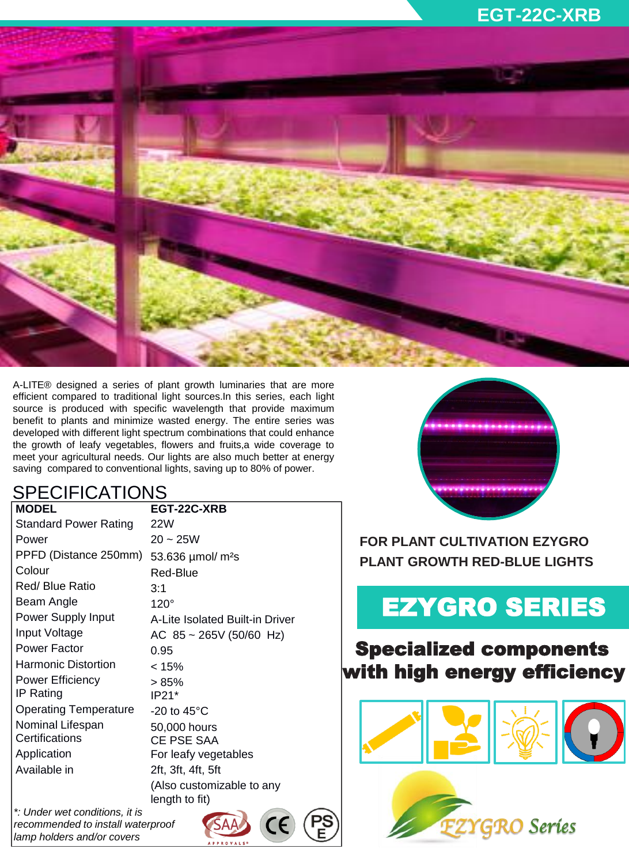

A-LITE® designed a series of plant growth luminaries that are more efficient compared to traditional light sources.In this series, each light source is produced with specific wavelength that provide maximum benefit to plants and minimize wasted energy. The entire series was developed with different light spectrum combinations that could enhance the growth of leafy vegetables, flowers and fruits,a wide coverage to meet your agricultural needs. Our lights are also much better at energy saving compared to conventional lights, saving up to 80% of power.

### SPECIFICATIONS

| <b>MODEL</b>                 | EGT-22C-XRB                                 |
|------------------------------|---------------------------------------------|
| <b>Standard Power Rating</b> | 22W                                         |
| Power                        | $20 - 25W$                                  |
| PPFD (Distance 250mm)        | 53.636 $\mu$ mol/ m <sup>2</sup> s          |
| Colour                       | <b>Red-Blue</b>                             |
| <b>Red/ Blue Ratio</b>       | 3:1                                         |
| Beam Angle                   | $120^\circ$                                 |
| <b>Power Supply Input</b>    | A-Lite Isolated Built-in Driver             |
| Input Voltage                | AC $85 \sim 265V$ (50/60 Hz)                |
| <b>Power Factor</b>          | 0.95                                        |
| <b>Harmonic Distortion</b>   | < 15%                                       |
| <b>Power Efficiency</b>      | > 85%                                       |
| IP Rating                    | $IP21*$                                     |
| <b>Operating Temperature</b> | -20 to $45^{\circ}$ C                       |
| Nominal Lifespan             | 50,000 hours                                |
| Certifications               | <b>CE PSE SAA</b>                           |
| Application                  | For leafy vegetables                        |
| Available in                 | 2ft, 3ft, 4ft, 5ft                          |
|                              | (Also customizable to any<br>length to fit) |

CE

*\*: Under wet conditions, it is recommended to install waterproof lamp holders and/or covers* 

**FOR PLANT CULTIVATION EZYGRO PLANT GROWTH RED-BLUE LIGHTS**

# EZYGRO SERIES

## Specialized components with high energy efficiency